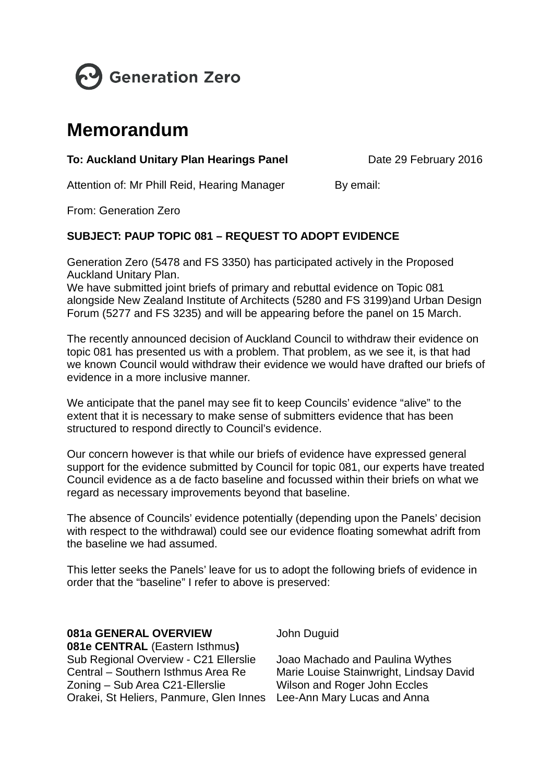

# **Memorandum**

# To: Auckland Unitary Plan Hearings Panel

Date 29 February 2016

Attention of: Mr Phill Reid, Hearing Manager

By email:

From: Generation Zero

## SUBJECT: PAUP TOPIC 081 - REQUEST TO ADOPT EVIDENCE

Generation Zero (5478 and FS 3350) has participated actively in the Proposed **Auckland Unitary Plan.** 

We have submitted joint briefs of primary and rebuttal evidence on Topic 081 alongside New Zealand Institute of Architects (5280 and FS 3199) and Urban Design Forum (5277 and FS 3235) and will be appearing before the panel on 15 March.

The recently announced decision of Auckland Council to withdraw their evidence on topic 081 has presented us with a problem. That problem, as we see it, is that had we known Council would withdraw their evidence we would have drafted our briefs of evidence in a more inclusive manner

We anticipate that the panel may see fit to keep Councils' evidence "alive" to the extent that it is necessary to make sense of submitters evidence that has been structured to respond directly to Council's evidence.

Our concern however is that while our briefs of evidence have expressed general support for the evidence submitted by Council for topic 081, our experts have treated Council evidence as a de facto baseline and focussed within their briefs on what we regard as necessary improvements beyond that baseline.

The absence of Councils' evidence potentially (depending upon the Panels' decision with respect to the withdrawal) could see our evidence floating somewhat adrift from the baseline we had assumed.

This letter seeks the Panels' leave for us to adopt the following briefs of evidence in order that the "baseline" I refer to above is preserved:

## **081a GENERAL OVERVIEW**

081e CENTRAL (Eastern Isthmus) Sub Regional Overview - C21 Ellerslie Central - Southern Isthmus Area Re Zoning - Sub Area C21-Ellerslie Orakei, St Heliers, Panmure, Glen Innes Lee-Ann Mary Lucas and Anna

John Duguid

Joao Machado and Paulina Wythes Marie Louise Stainwright, Lindsay David Wilson and Roger John Eccles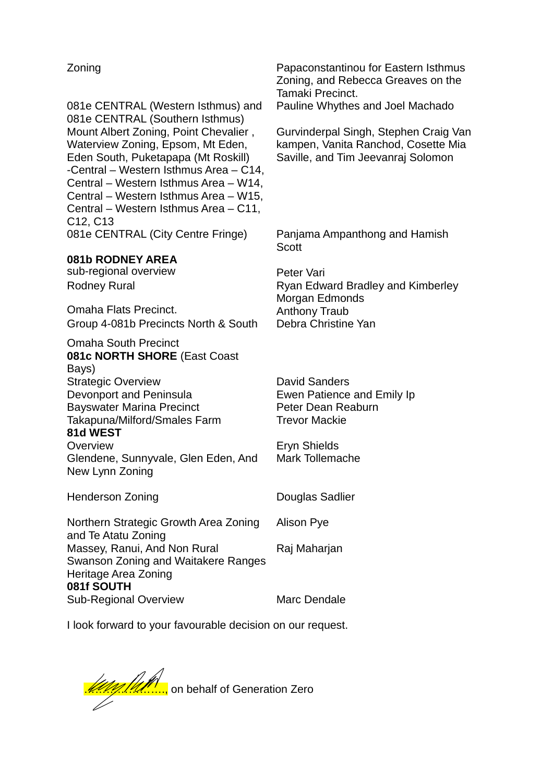## Zoning

081e CENTRAL (Western Isthmus) and 081e CENTRAL (Southern Isthmus) Mount Albert Zoning, Point Chevalier, Waterview Zoning, Epsom, Mt Eden, Eden South, Puketapapa (Mt Roskill) -Central - Western Isthmus Area - C14, Central - Western Isthmus Area - W14. Central – Western Isthmus Area – W15, Central - Western Isthmus Area - C11. C<sub>12</sub>, C<sub>13</sub> 081e CENTRAL (City Centre Fringe)

#### 081b RODNEY AREA

sub-regional overview **Rodney Rural** 

**Omaha Flats Precinct.** Group 4-081b Precincts North & South

**Omaha South Precinct 081c NORTH SHORE (East Coast)** Bays) **Strategic Overview** Devonport and Peninsula **Bayswater Marina Precinct** Takapuna/Milford/Smales Farm

#### 81d WEST

Overview Glendene, Sunnyvale, Glen Eden, And New Lynn Zoning

**Henderson Zoning** 

Northern Strategic Growth Area Zoning and Te Atatu Zoning Massey, Ranui, And Non Rural Swanson Zoning and Waitakere Ranges Heritage Area Zoning 081f SOUTH Sub-Regional Overview

Papaconstantinou for Eastern Isthmus Zoning, and Rebecca Greaves on the Tamaki Precinct. Pauline Whythes and Joel Machado

Gurvinderpal Singh, Stephen Craig Van kampen, Vanita Ranchod, Cosette Mia Saville, and Tim Jeevanraj Solomon

Panjama Ampanthong and Hamish Scott

Peter Vari Ryan Edward Bradley and Kimberley Morgan Edmonds **Anthony Traub** Debra Christine Yan

**David Sanders** Ewen Patience and Emily Ip Peter Dean Reaburn **Trevor Mackie** 

Eryn Shields Mark Tollemache

**Douglas Sadlier** 

Alison Pye

Raj Maharjan

Marc Dendale

I look forward to your favourable decision on our request.

<u>Web Marinal</u> on behalf of Generation Zero